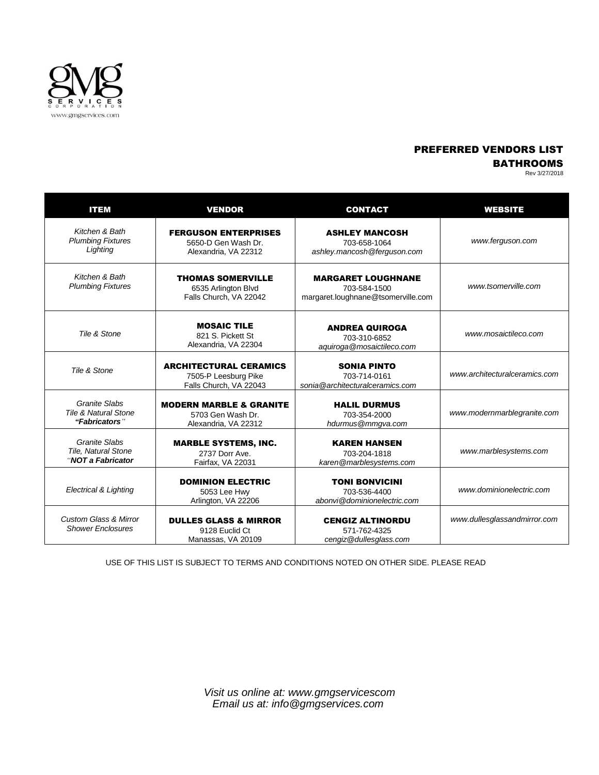

## PREFERRED VENDORS LIST

BATHROOMS

| Rev 3/27/2018 |  |  |
|---------------|--|--|
|               |  |  |

| <b>ITEM</b>                                                       | <b>VENDOR</b>                                                                   | <b>CONTACT</b>                                                                  | <b>WEBSITE</b>                |
|-------------------------------------------------------------------|---------------------------------------------------------------------------------|---------------------------------------------------------------------------------|-------------------------------|
| Kitchen & Bath<br><b>Plumbing Fixtures</b><br>Lighting            | <b>FERGUSON ENTERPRISES</b><br>5650-D Gen Wash Dr.<br>Alexandria, VA 22312      | <b>ASHLEY MANCOSH</b><br>703-658-1064<br>ashley.mancosh@ferguson.com            | www.ferguson.com              |
| Kitchen & Bath<br><b>Plumbing Fixtures</b>                        | <b>THOMAS SOMERVILLE</b><br>6535 Arlington Blvd<br>Falls Church, VA 22042       | <b>MARGARET LOUGHNANE</b><br>703-584-1500<br>margaret.loughnane@tsomerville.com | www.tsomerville.com           |
| Tile & Stone                                                      | <b>MOSAIC TILE</b><br>821 S. Pickett St<br>Alexandria, VA 22304                 | <b>ANDREA QUIROGA</b><br>703-310-6852<br>aquiroga@mosaictileco.com              | www.mosaictileco.com          |
| Tile & Stone                                                      | <b>ARCHITECTURAL CERAMICS</b><br>7505-P Leesburg Pike<br>Falls Church, VA 22043 | <b>SONIA PINTO</b><br>703-714-0161<br>sonia@architecturalceramics.com           | www.architecturalceramics.com |
| Granite Slabs<br><b>Tile &amp; Natural Stone</b><br>"Fabricators" | <b>MODERN MARBLE &amp; GRANITE</b><br>5703 Gen Wash Dr.<br>Alexandria, VA 22312 | <b>HALIL DURMUS</b><br>703-354-2000<br>hdurmus@mmgva.com                        | www.modernmarblegranite.com   |
| Granite Slabs<br>Tile, Natural Stone<br>"NOT a Fabricator         | <b>MARBLE SYSTEMS, INC.</b><br>2737 Dorr Ave.<br>Fairfax, VA 22031              | <b>KAREN HANSEN</b><br>703-204-1818<br>karen@marblesystems.com                  | www.marblesystems.com         |
| Electrical & Lighting                                             | <b>DOMINION ELECTRIC</b><br>5053 Lee Hwy<br>Arlington, VA 22206                 | <b>TONI BONVICINI</b><br>703-536-4400<br>abonyi@dominionelectric.com            | www.dominionelectric.com      |
| <b>Custom Glass &amp; Mirror</b><br><b>Shower Enclosures</b>      | <b>DULLES GLASS &amp; MIRROR</b><br>9128 Euclid Ct<br>Manassas, VA 20109        | <b>CENGIZ ALTINORDU</b><br>571-762-4325<br>cengiz@dullesglass.com               | www.dullesglassandmirror.com  |

USE OF THIS LIST IS SUBJECT TO TERMS AND CONDITIONS NOTED ON OTHER SIDE. PLEASE READ

*Visit us online at: [www.gmgservicescom](http://www.gmgservicescom/) Email us at: info@gmgservices.com*